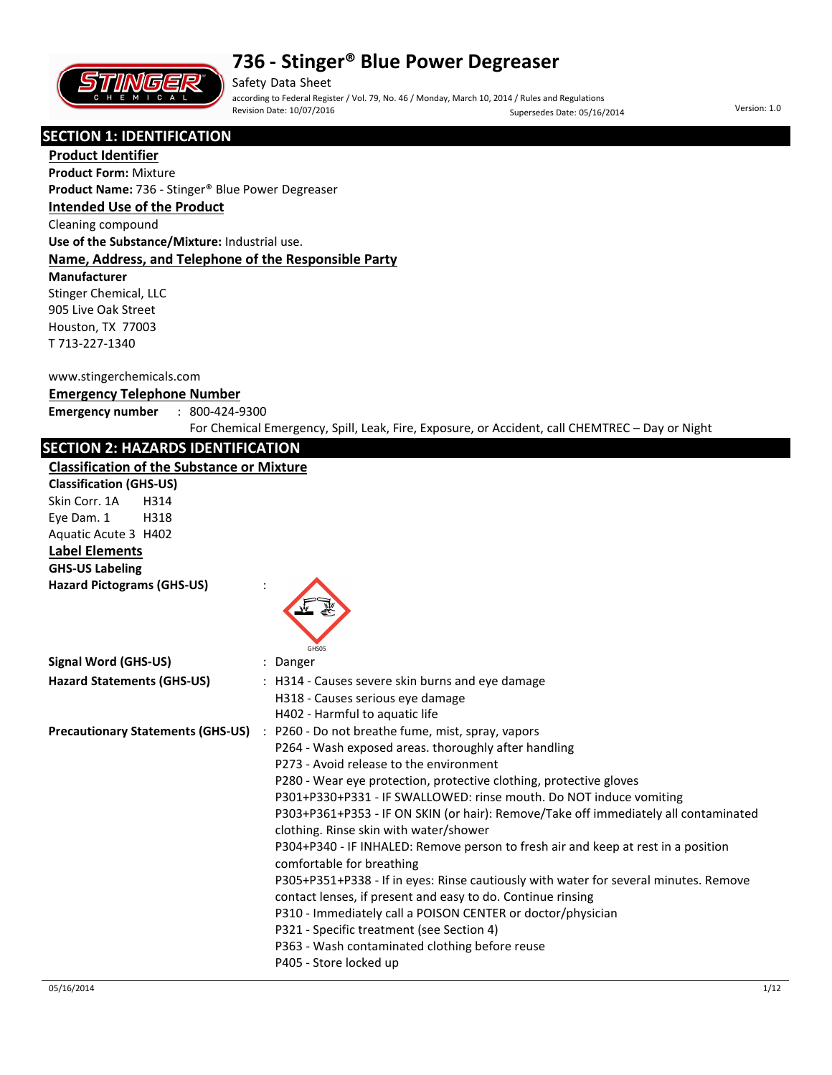

Safety Data Sheet according to Federal Register / Vol. 79, No. 46 / Monday, March 10, 2014 / Rules and Regulations Supersedes Date: 05/16/2014 Version: 1.0

#### **SECTION 1: IDENTIFICATION**

**Product Identifier Product Form:** Mixture

**Product Name:** 736 - Stinger® Blue Power Degreaser

#### **Intended Use of the Product**

Cleaning compound

**Use of the Substance/Mixture:** Industrial use.

#### **Name, Address, and Telephone of the Responsible Party**

**Manufacturer** 

Stinger Chemical, LLC 905 Live Oak Street Houston, TX 77003 T 713-227-1340

#### www.stingerchemicals.com

#### **Emergency Telephone Number**

**Emergency number** : 800-424-9300

For Chemical Emergency, Spill, Leak, Fire, Exposure, or Accident, call CHEMTREC – Day or Night

#### **SECTION 2: HAZARDS IDENTIFICATION**

#### **Classification of the Substance or Mixture**

| <b>Classification of the Substance or Mixture</b> |                                                                                                 |
|---------------------------------------------------|-------------------------------------------------------------------------------------------------|
| <b>Classification (GHS-US)</b>                    |                                                                                                 |
| Skin Corr. 1A<br>H314                             |                                                                                                 |
| Eye Dam. 1<br>H318                                |                                                                                                 |
| Aquatic Acute 3 H402                              |                                                                                                 |
| <b>Label Elements</b>                             |                                                                                                 |
| <b>GHS-US Labeling</b>                            |                                                                                                 |
| <b>Hazard Pictograms (GHS-US)</b>                 | GHS05                                                                                           |
| <b>Signal Word (GHS-US)</b>                       | Danger                                                                                          |
| <b>Hazard Statements (GHS-US)</b>                 | : H314 - Causes severe skin burns and eye damage                                                |
|                                                   | H318 - Causes serious eye damage                                                                |
|                                                   | H402 - Harmful to aquatic life                                                                  |
| <b>Precautionary Statements (GHS-US)</b>          | : P260 - Do not breathe fume, mist, spray, vapors                                               |
|                                                   | P264 - Wash exposed areas. thoroughly after handling<br>P273 - Avoid release to the environment |
|                                                   | P280 - Wear eye protection, protective clothing, protective gloves                              |
|                                                   | P301+P330+P331 - IF SWALLOWED: rinse mouth. Do NOT induce vomiting                              |
|                                                   | P303+P361+P353 - IF ON SKIN (or hair): Remove/Take off immediately all contaminated             |
|                                                   | clothing. Rinse skin with water/shower                                                          |
|                                                   | P304+P340 - IF INHALED: Remove person to fresh air and keep at rest in a position               |
|                                                   | comfortable for breathing                                                                       |
|                                                   | P305+P351+P338 - If in eyes: Rinse cautiously with water for several minutes. Remove            |
|                                                   | contact lenses, if present and easy to do. Continue rinsing                                     |
|                                                   | P310 - Immediately call a POISON CENTER or doctor/physician                                     |
|                                                   | P321 - Specific treatment (see Section 4)                                                       |
|                                                   | P363 - Wash contaminated clothing before reuse                                                  |
|                                                   | P405 - Store locked up                                                                          |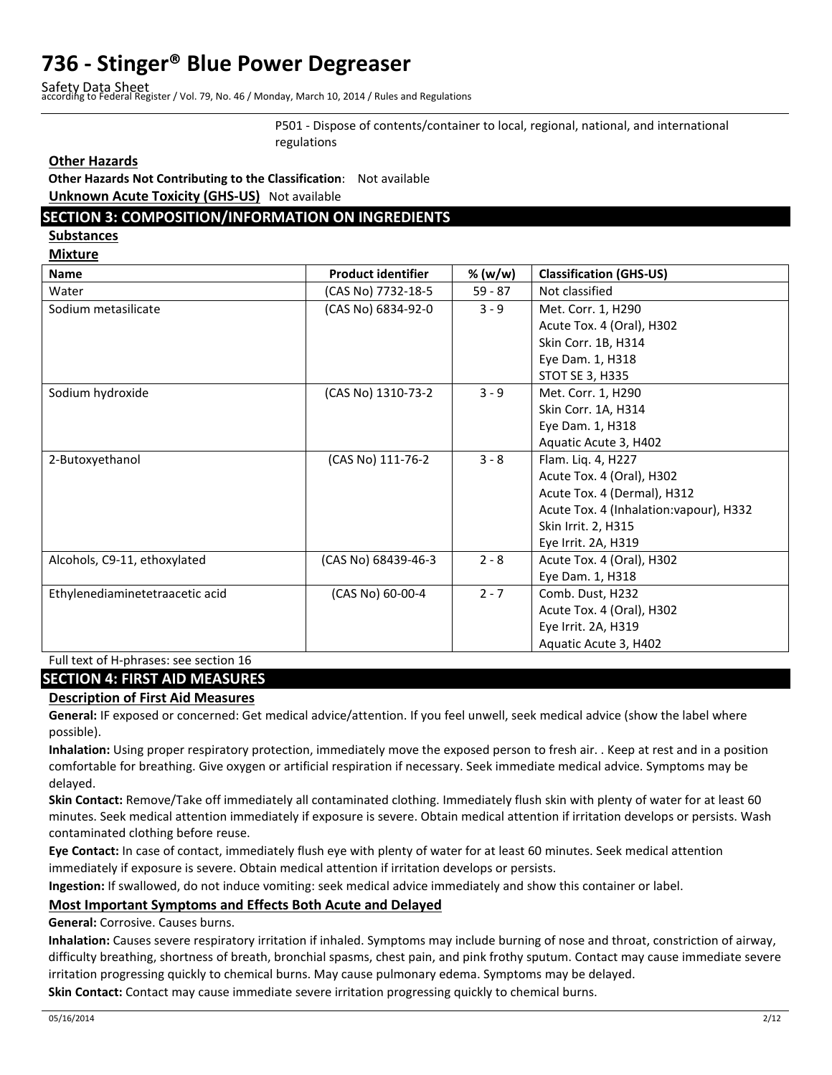Safety Data Sheet according to Federal Register / Vol. 79, No. 46 / Monday, March 10, 2014 / Rules and Regulations

P501 - Dispose of contents/container to local, regional, national, and international regulations

#### **Other Hazards**

**Other Hazards Not Contributing to the Classification**: Not available **Unknown Acute Toxicity (GHS-US)** Not available

#### **SECTION 3: COMPOSITION/INFORMATION ON INGREDIENTS**

**Substances** 

**Mixture** 

| <b>Name</b>                     | <b>Product identifier</b> | % (w/w)   | <b>Classification (GHS-US)</b>          |
|---------------------------------|---------------------------|-----------|-----------------------------------------|
| Water                           | (CAS No) 7732-18-5        | $59 - 87$ | Not classified                          |
| Sodium metasilicate             | (CAS No) 6834-92-0        | $3 - 9$   | Met. Corr. 1, H290                      |
|                                 |                           |           | Acute Tox. 4 (Oral), H302               |
|                                 |                           |           | Skin Corr. 1B, H314                     |
|                                 |                           |           | Eye Dam. 1, H318                        |
|                                 |                           |           | <b>STOT SE 3, H335</b>                  |
| Sodium hydroxide                | (CAS No) 1310-73-2        | $3 - 9$   | Met. Corr. 1, H290                      |
|                                 |                           |           | Skin Corr. 1A, H314                     |
|                                 |                           |           | Eye Dam. 1, H318                        |
|                                 |                           |           | Aquatic Acute 3, H402                   |
| 2-Butoxyethanol                 | (CAS No) 111-76-2         | $3 - 8$   | Flam. Liq. 4, H227                      |
|                                 |                           |           | Acute Tox. 4 (Oral), H302               |
|                                 |                           |           | Acute Tox. 4 (Dermal), H312             |
|                                 |                           |           | Acute Tox. 4 (Inhalation: vapour), H332 |
|                                 |                           |           | Skin Irrit. 2, H315                     |
|                                 |                           |           | Eye Irrit. 2A, H319                     |
| Alcohols, C9-11, ethoxylated    | (CAS No) 68439-46-3       | $2 - 8$   | Acute Tox. 4 (Oral), H302               |
|                                 |                           |           | Eye Dam. 1, H318                        |
| Ethylenediaminetetraacetic acid | (CAS No) 60-00-4          | $2 - 7$   | Comb. Dust, H232                        |
|                                 |                           |           | Acute Tox. 4 (Oral), H302               |
|                                 |                           |           | Eye Irrit. 2A, H319                     |
|                                 |                           |           | Aquatic Acute 3, H402                   |

#### Full text of H-phrases: see section 16

#### **SECTION 4: FIRST AID MEASURES**

#### **Description of First Aid Measures**

**General:** IF exposed or concerned: Get medical advice/attention. If you feel unwell, seek medical advice (show the label where possible).

**Inhalation:** Using proper respiratory protection, immediately move the exposed person to fresh air. . Keep at rest and in a position comfortable for breathing. Give oxygen or artificial respiration if necessary. Seek immediate medical advice. Symptoms may be delayed.

**Skin Contact:** Remove/Take off immediately all contaminated clothing. Immediately flush skin with plenty of water for at least 60 minutes. Seek medical attention immediately if exposure is severe. Obtain medical attention if irritation develops or persists. Wash contaminated clothing before reuse.

**Eye Contact:** In case of contact, immediately flush eye with plenty of water for at least 60 minutes. Seek medical attention immediately if exposure is severe. Obtain medical attention if irritation develops or persists.

**Ingestion:** If swallowed, do not induce vomiting: seek medical advice immediately and show this container or label.

#### **Most Important Symptoms and Effects Both Acute and Delayed**

**General:** Corrosive. Causes burns.

**Inhalation:** Causes severe respiratory irritation if inhaled. Symptoms may include burning of nose and throat, constriction of airway, difficulty breathing, shortness of breath, bronchial spasms, chest pain, and pink frothy sputum. Contact may cause immediate severe irritation progressing quickly to chemical burns. May cause pulmonary edema. Symptoms may be delayed.

**Skin Contact:** Contact may cause immediate severe irritation progressing quickly to chemical burns.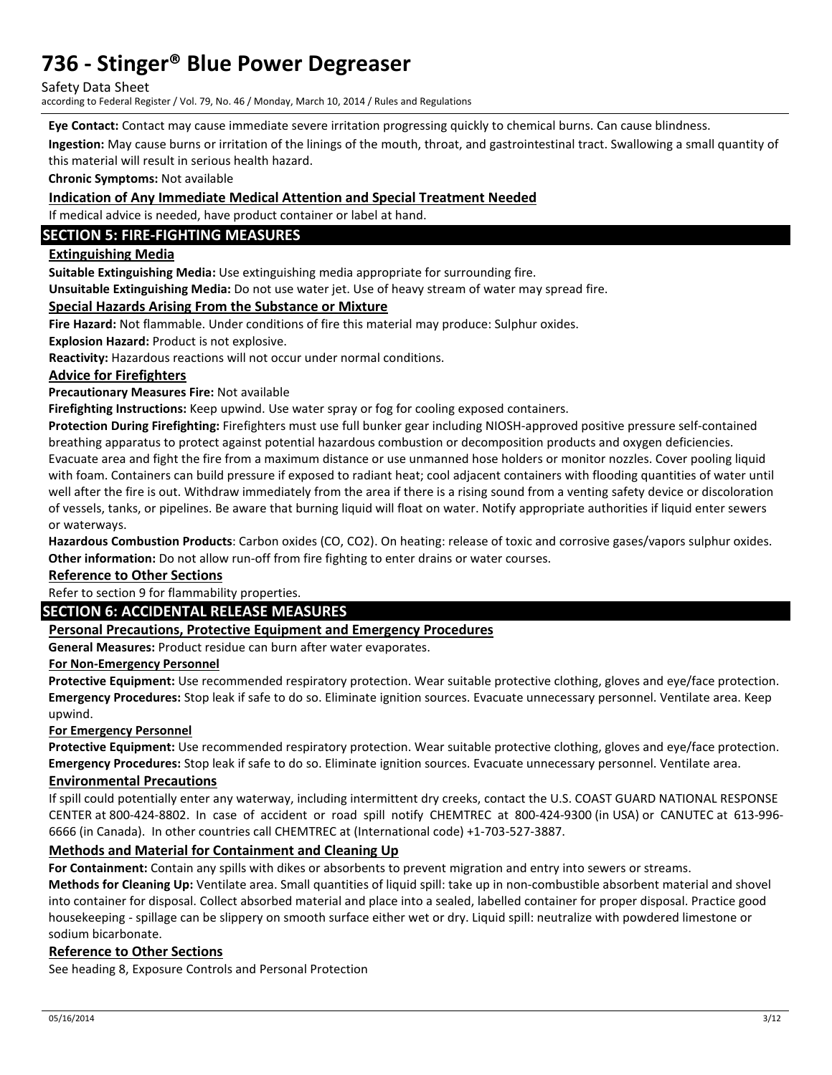Safety Data Sheet

according to Federal Register / Vol. 79, No. 46 / Monday, March 10, 2014 / Rules and Regulations

**Eye Contact:** Contact may cause immediate severe irritation progressing quickly to chemical burns. Can cause blindness.

**Ingestion:** May cause burns or irritation of the linings of the mouth, throat, and gastrointestinal tract. Swallowing a small quantity of this material will result in serious health hazard.

**Chronic Symptoms:** Not available

#### **Indication of Any Immediate Medical Attention and Special Treatment Needed**

If medical advice is needed, have product container or label at hand.

#### **SECTION 5: FIRE-FIGHTING MEASURES**

#### **Extinguishing Media**

**Suitable Extinguishing Media:** Use extinguishing media appropriate for surrounding fire.

**Unsuitable Extinguishing Media:** Do not use water jet. Use of heavy stream of water may spread fire.

#### **Special Hazards Arising From the Substance or Mixture**

**Fire Hazard:** Not flammable. Under conditions of fire this material may produce: Sulphur oxides.

**Explosion Hazard:** Product is not explosive.

**Reactivity:** Hazardous reactions will not occur under normal conditions.

#### **Advice for Firefighters**

**Precautionary Measures Fire:** Not available

**Firefighting Instructions:** Keep upwind. Use water spray or fog for cooling exposed containers.

**Protection During Firefighting:** Firefighters must use full bunker gear including NIOSH-approved positive pressure self-contained breathing apparatus to protect against potential hazardous combustion or decomposition products and oxygen deficiencies. Evacuate area and fight the fire from a maximum distance or use unmanned hose holders or monitor nozzles. Cover pooling liquid with foam. Containers can build pressure if exposed to radiant heat; cool adjacent containers with flooding quantities of water until well after the fire is out. Withdraw immediately from the area if there is a rising sound from a venting safety device or discoloration of vessels, tanks, or pipelines. Be aware that burning liquid will float on water. Notify appropriate authorities if liquid enter sewers or waterways.

**Hazardous Combustion Products**: Carbon oxides (CO, CO2). On heating: release of toxic and corrosive gases/vapors sulphur oxides. **Other information:** Do not allow run-off from fire fighting to enter drains or water courses.

#### **Reference to Other Sections**

#### Refer to section 9 for flammability properties.

#### **SECTION 6: ACCIDENTAL RELEASE MEASURES**

#### **Personal Precautions, Protective Equipment and Emergency Procedures**

**General Measures:** Product residue can burn after water evaporates.

#### **For Non-Emergency Personnel**

**Protective Equipment:** Use recommended respiratory protection. Wear suitable protective clothing, gloves and eye/face protection. **Emergency Procedures:** Stop leak if safe to do so. Eliminate ignition sources. Evacuate unnecessary personnel. Ventilate area. Keep upwind.

#### **For Emergency Personnel**

**Protective Equipment:** Use recommended respiratory protection. Wear suitable protective clothing, gloves and eye/face protection. **Emergency Procedures:** Stop leak if safe to do so. Eliminate ignition sources. Evacuate unnecessary personnel. Ventilate area.

#### **Environmental Precautions**

If spill could potentially enter any waterway, including intermittent dry creeks, contact the U.S. COAST GUARD NATIONAL RESPONSE CENTER at 800-424-8802. In case of accident or road spill notify CHEMTREC at 800-424-9300 (in USA) or CANUTEC at 613-996- 6666 (in Canada). In other countries call CHEMTREC at (International code) +1-703-527-3887.

#### **Methods and Material for Containment and Cleaning Up**

**For Containment:** Contain any spills with dikes or absorbents to prevent migration and entry into sewers or streams.

**Methods for Cleaning Up:** Ventilate area. Small quantities of liquid spill: take up in non-combustible absorbent material and shovel into container for disposal. Collect absorbed material and place into a sealed, labelled container for proper disposal. Practice good housekeeping - spillage can be slippery on smooth surface either wet or dry. Liquid spill: neutralize with powdered limestone or sodium bicarbonate.

#### **Reference to Other Sections**

See heading 8, Exposure Controls and Personal Protection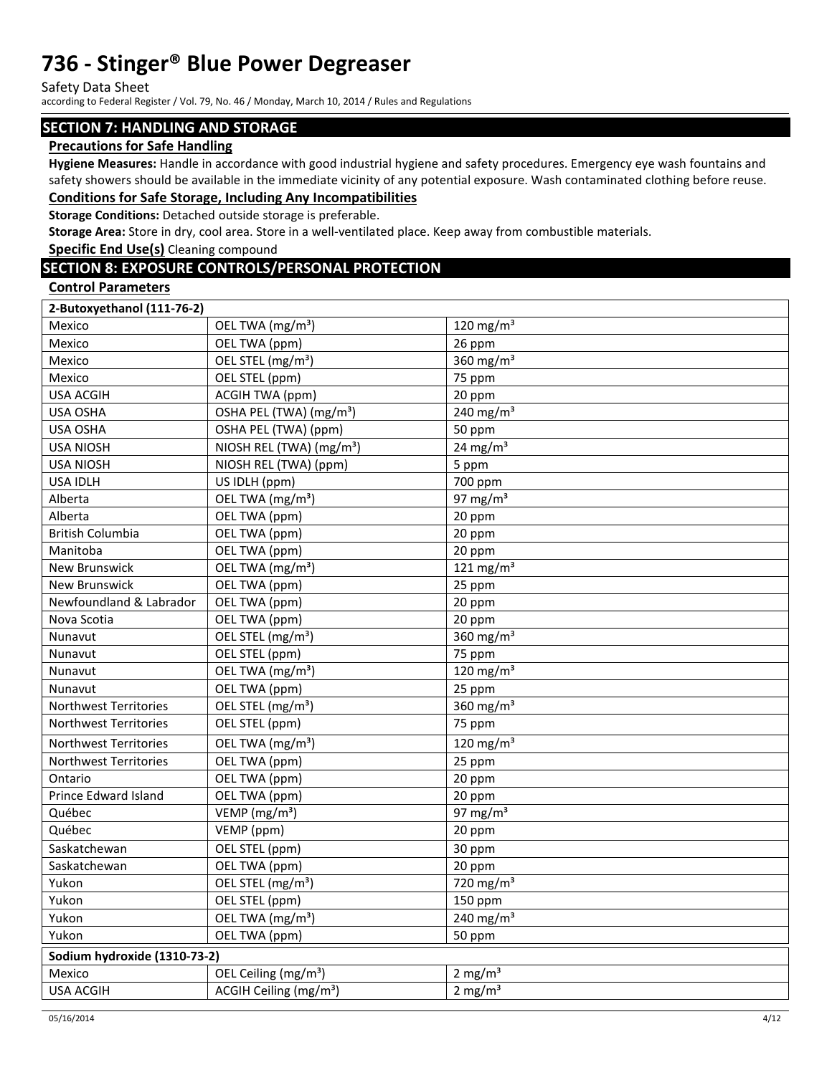Safety Data Sheet

according to Federal Register / Vol. 79, No. 46 / Monday, March 10, 2014 / Rules and Regulations

#### **SECTION 7: HANDLING AND STORAGE**

#### **Precautions for Safe Handling**

**Hygiene Measures:** Handle in accordance with good industrial hygiene and safety procedures. Emergency eye wash fountains and safety showers should be available in the immediate vicinity of any potential exposure. Wash contaminated clothing before reuse. **Conditions for Safe Storage, Including Any Incompatibilities** 

**Storage Conditions:** Detached outside storage is preferable.

**Storage Area:** Store in dry, cool area. Store in a well-ventilated place. Keep away from combustible materials.

**Specific End Use(s)** Cleaning compound

#### **SECTION 8: EXPOSURE CONTROLS/PERSONAL PROTECTION**

#### **Control Parameters**

| 2-Butoxyethanol (111-76-2)   |                                      |                       |  |  |
|------------------------------|--------------------------------------|-----------------------|--|--|
| Mexico                       | OEL TWA (mg/m <sup>3</sup> )         | 120 mg/m $3$          |  |  |
| Mexico                       | OEL TWA (ppm)                        | 26 ppm                |  |  |
| Mexico                       | OEL STEL (mg/m <sup>3</sup> )        | 360 $mg/m3$           |  |  |
| Mexico                       | OEL STEL (ppm)                       | 75 ppm                |  |  |
| <b>USA ACGIH</b>             | <b>ACGIH TWA (ppm)</b>               | 20 ppm                |  |  |
| <b>USA OSHA</b>              | OSHA PEL (TWA) (mg/m <sup>3</sup> )  | 240 mg/m $3$          |  |  |
| USA OSHA                     | OSHA PEL (TWA) (ppm)                 | 50 ppm                |  |  |
| <b>USA NIOSH</b>             | NIOSH REL (TWA) (mg/m <sup>3</sup> ) | $24 \text{ mg/m}^3$   |  |  |
| <b>USA NIOSH</b>             | NIOSH REL (TWA) (ppm)                | 5 ppm                 |  |  |
| <b>USA IDLH</b>              | US IDLH (ppm)                        | 700 ppm               |  |  |
| Alberta                      | OEL TWA (mg/m <sup>3</sup> )         | 97 mg/m $3$           |  |  |
| Alberta                      | OEL TWA (ppm)                        | 20 ppm                |  |  |
| <b>British Columbia</b>      | OEL TWA (ppm)                        | 20 ppm                |  |  |
| Manitoba                     | OEL TWA (ppm)                        | 20 ppm                |  |  |
| <b>New Brunswick</b>         | OEL TWA (mg/m <sup>3</sup> )         | 121 mg/m $3$          |  |  |
| New Brunswick                | OEL TWA (ppm)                        | 25 ppm                |  |  |
| Newfoundland & Labrador      | OEL TWA (ppm)                        | 20 ppm                |  |  |
| Nova Scotia                  | OEL TWA (ppm)                        | 20 ppm                |  |  |
| Nunavut                      | OEL STEL (mg/m <sup>3</sup> )        | 360 $mg/m3$           |  |  |
| Nunavut                      | OEL STEL (ppm)                       | 75 ppm                |  |  |
| Nunavut                      | OEL TWA (mg/m <sup>3</sup> )         | 120 mg/m $3$          |  |  |
| Nunavut                      | OEL TWA (ppm)                        | 25 ppm                |  |  |
| Northwest Territories        | OEL STEL (mg/m <sup>3</sup> )        | 360 mg/m $3$          |  |  |
| Northwest Territories        | OEL STEL (ppm)                       | 75 ppm                |  |  |
| <b>Northwest Territories</b> | OEL TWA (mg/m <sup>3</sup> )         | 120 mg/m $3$          |  |  |
| Northwest Territories        | OEL TWA (ppm)                        | 25 ppm                |  |  |
| Ontario                      | OEL TWA (ppm)                        | 20 ppm                |  |  |
| Prince Edward Island         | OEL TWA (ppm)                        | 20 ppm                |  |  |
| Québec                       | VEMP (mg/m <sup>3</sup> )            | 97 mg/m $3$           |  |  |
| Québec                       | VEMP (ppm)                           | 20 ppm                |  |  |
| Saskatchewan                 | OEL STEL (ppm)                       | 30 ppm                |  |  |
| Saskatchewan                 | OEL TWA (ppm)                        | 20 ppm                |  |  |
| Yukon                        | OEL STEL (mg/m <sup>3</sup> )        | 720 mg/m <sup>3</sup> |  |  |
| Yukon                        | OEL STEL (ppm)                       | 150 ppm               |  |  |
| Yukon                        | OEL TWA (mg/m <sup>3</sup> )         | $240 \text{ mg/m}^3$  |  |  |
| Yukon                        | OEL TWA (ppm)                        | 50 ppm                |  |  |
| Sodium hydroxide (1310-73-2) |                                      |                       |  |  |
| Mexico                       | OEL Ceiling (mg/m <sup>3</sup> )     | 2 mg/ $m3$            |  |  |
| <b>USA ACGIH</b>             | ACGIH Ceiling (mg/m <sup>3</sup> )   | $2 \text{ mg/m}^3$    |  |  |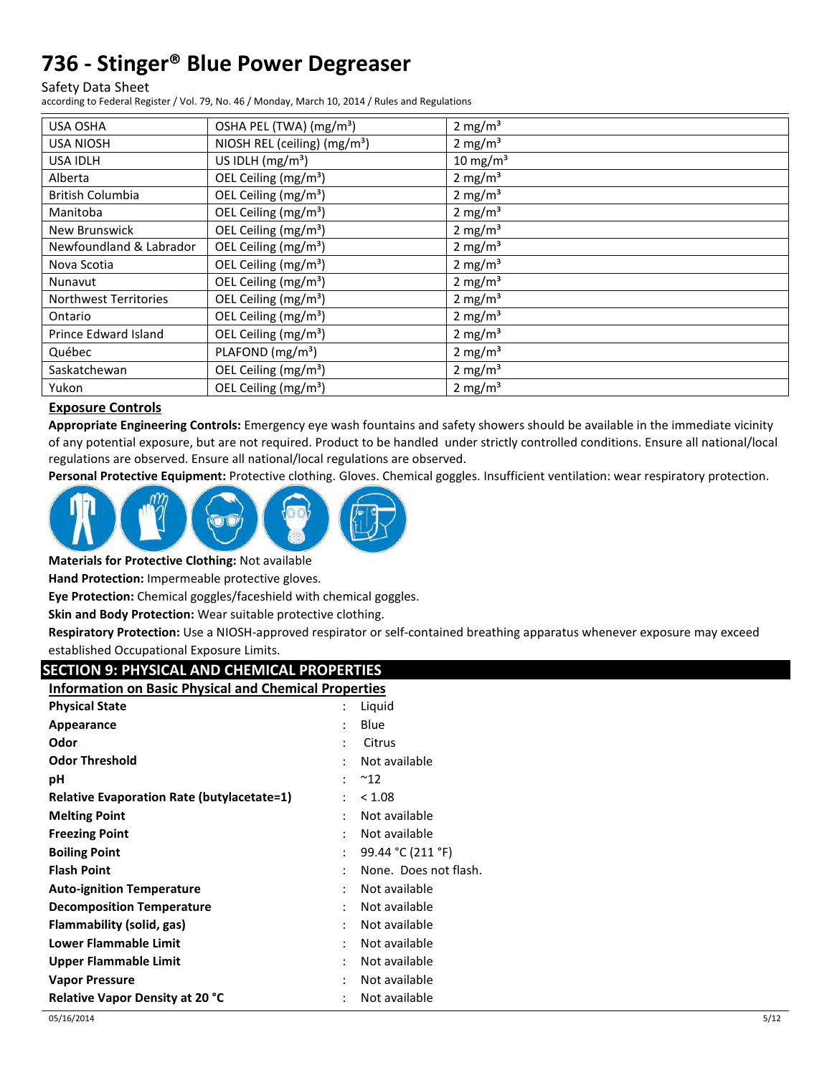Safety Data Sheet

according to Federal Register / Vol. 79, No. 46 / Monday, March 10, 2014 / Rules and Regulations

| <b>USA OSHA</b>              | OSHA PEL (TWA) (mg/m <sup>3</sup> )      | $2 \text{ mg/m}^3$  |
|------------------------------|------------------------------------------|---------------------|
| <b>USA NIOSH</b>             | NIOSH REL (ceiling) (mg/m <sup>3</sup> ) | 2 mg/m <sup>3</sup> |
| <b>USA IDLH</b>              | US IDLH $(mg/m3)$                        | $10 \text{ mg/m}^3$ |
| Alberta                      | OEL Ceiling (mg/m <sup>3</sup> )         | 2 mg/ $m3$          |
| British Columbia             | OEL Ceiling (mg/m <sup>3</sup> )         | $2 \text{ mg/m}^3$  |
| Manitoba                     | OEL Ceiling (mg/m <sup>3</sup> )         | 2 mg/m <sup>3</sup> |
| New Brunswick                | OEL Ceiling (mg/m <sup>3</sup> )         | 2 mg/ $m3$          |
| Newfoundland & Labrador      | OEL Ceiling (mg/m <sup>3</sup> )         | $2 \text{ mg/m}^3$  |
| Nova Scotia                  | OEL Ceiling (mg/m <sup>3</sup> )         | 2 mg/ $m3$          |
| Nunavut                      | OEL Ceiling (mg/m <sup>3</sup> )         | 2 mg/ $m3$          |
| <b>Northwest Territories</b> | OEL Ceiling (mg/m <sup>3</sup> )         | 2 mg/m <sup>3</sup> |
| Ontario                      | OEL Ceiling (mg/m <sup>3</sup> )         | $2 \text{ mg/m}^3$  |
| Prince Edward Island         | OEL Ceiling (mg/m <sup>3</sup> )         | 2 mg/m <sup>3</sup> |
| Québec                       | PLAFOND (mg/m <sup>3</sup> )             | 2 mg/m <sup>3</sup> |
| Saskatchewan                 | OEL Ceiling (mg/m <sup>3</sup> )         | 2 mg/ $m3$          |
| Yukon                        | OEL Ceiling (mg/m <sup>3</sup> )         | 2 mg/m <sup>3</sup> |

#### **Exposure Controls**

**Appropriate Engineering Controls:** Emergency eye wash fountains and safety showers should be available in the immediate vicinity of any potential exposure, but are not required. Product to be handled under strictly controlled conditions. Ensure all national/local regulations are observed. Ensure all national/local regulations are observed.

**Personal Protective Equipment:** Protective clothing. Gloves. Chemical goggles. Insufficient ventilation: wear respiratory protection.



**Materials for Protective Clothing:** Not available

**Hand Protection:** Impermeable protective gloves.

**Eye Protection:** Chemical goggles/faceshield with chemical goggles.

**Skin and Body Protection:** Wear suitable protective clothing.

**Respiratory Protection:** Use a NIOSH-approved respirator or self-contained breathing apparatus whenever exposure may exceed established Occupational Exposure Limits.

### **SECTION 9: PHYSICAL AND CHEMICAL PROPERTIES**

| <b>Information on Basic Physical and Chemical Properties</b> |
|--------------------------------------------------------------|
|                                                              |

| <b>Physical State</b>                             |                      | Liguid                |
|---------------------------------------------------|----------------------|-----------------------|
| Appearance                                        |                      | Blue                  |
| Odor                                              | ٠                    | Citrus                |
| <b>Odor Threshold</b>                             |                      | Not available         |
| рH                                                |                      | $^{\sim}$ 12          |
| <b>Relative Evaporation Rate (butylacetate=1)</b> |                      | < 1.08                |
| <b>Melting Point</b>                              |                      | Not available         |
| <b>Freezing Point</b>                             |                      | Not available         |
| <b>Boiling Point</b>                              | $\ddot{\phantom{a}}$ | 99.44 °C (211 °F)     |
| <b>Flash Point</b>                                |                      | None. Does not flash. |
| <b>Auto-ignition Temperature</b>                  |                      | Not available         |
| <b>Decomposition Temperature</b>                  |                      | Not available         |
| Flammability (solid, gas)                         |                      | Not available         |
| Lower Flammable Limit                             |                      | Not available         |
| Upper Flammable Limit                             | ٠                    | Not available         |
| <b>Vapor Pressure</b>                             |                      | Not available         |
| <b>Relative Vapor Density at 20 °C</b>            |                      | Not available         |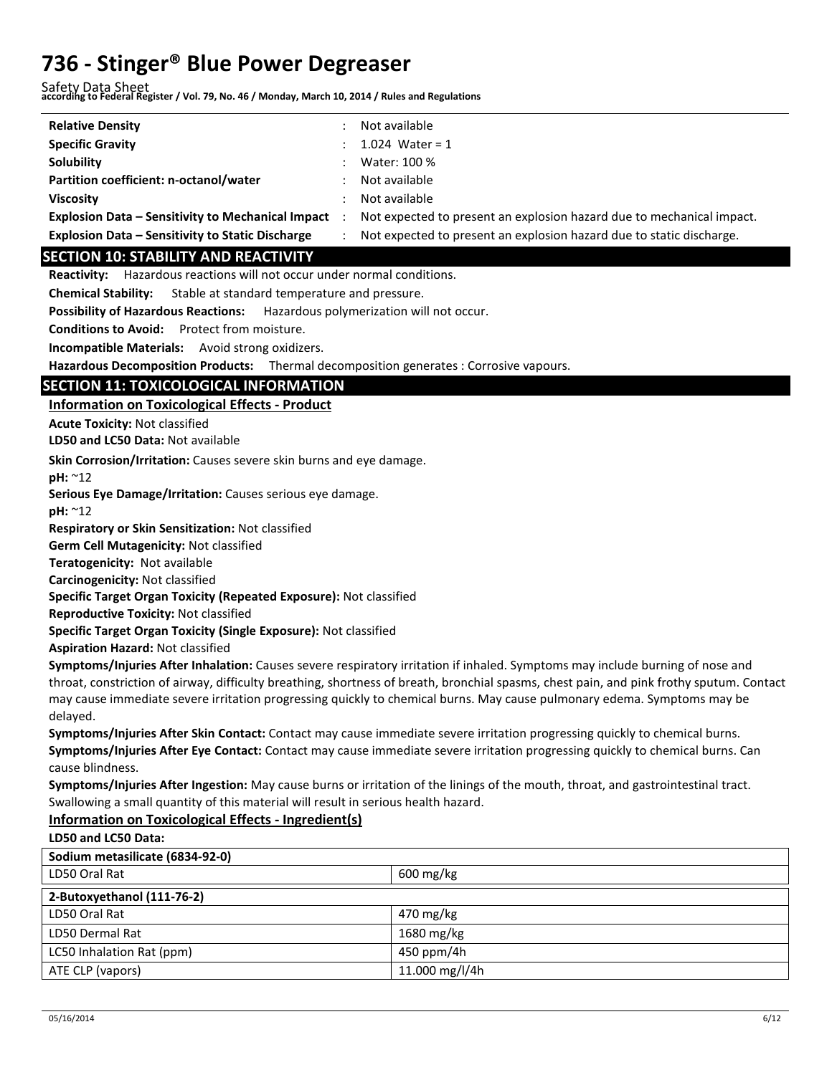Safety Data Sheet **according to Federal Register / Vol. 79, No. 46 / Monday, March 10, 2014 / Rules and Regulations** 

| <b>Relative Density</b>                                  | Not available                                                         |
|----------------------------------------------------------|-----------------------------------------------------------------------|
| <b>Specific Gravity</b>                                  | 1.024 Water = 1                                                       |
| Solubility                                               | Water: 100 %                                                          |
| Partition coefficient: n-octanol/water                   | Not available                                                         |
| <b>Viscosity</b>                                         | Not available                                                         |
| <b>Explosion Data – Sensitivity to Mechanical Impact</b> | Not expected to present an explosion hazard due to mechanical impact. |
| <b>Explosion Data - Sensitivity to Static Discharge</b>  | Not expected to present an explosion hazard due to static discharge.  |

#### **SECTION 10: STABILITY AND REACTIVITY**

**Reactivity:** Hazardous reactions will not occur under normal conditions.

**Chemical Stability:** Stable at standard temperature and pressure.

**Possibility of Hazardous Reactions:** Hazardous polymerization will not occur.

**Conditions to Avoid:** Protect from moisture.

**Incompatible Materials:** Avoid strong oxidizers.

**Hazardous Decomposition Products:** Thermal decomposition generates : Corrosive vapours.

### **SECTION 11: TOXICOLOGICAL INFORMATION**

**Information on Toxicological Effects - Product** 

**Acute Toxicity:** Not classified

**LD50 and LC50 Data:** Not available

**Skin Corrosion/Irritation:** Causes severe skin burns and eye damage.

**pH:** ~12

**Serious Eye Damage/Irritation:** Causes serious eye damage.

**pH:** ~12

**Respiratory or Skin Sensitization:** Not classified

**Germ Cell Mutagenicity:** Not classified

**Teratogenicity:** Not available

**Carcinogenicity:** Not classified

**Specific Target Organ Toxicity (Repeated Exposure):** Not classified

**Reproductive Toxicity:** Not classified

**Specific Target Organ Toxicity (Single Exposure):** Not classified

**Aspiration Hazard:** Not classified

**Symptoms/Injuries After Inhalation:** Causes severe respiratory irritation if inhaled. Symptoms may include burning of nose and throat, constriction of airway, difficulty breathing, shortness of breath, bronchial spasms, chest pain, and pink frothy sputum. Contact may cause immediate severe irritation progressing quickly to chemical burns. May cause pulmonary edema. Symptoms may be delayed.

**Symptoms/Injuries After Skin Contact:** Contact may cause immediate severe irritation progressing quickly to chemical burns. **Symptoms/Injuries After Eye Contact:** Contact may cause immediate severe irritation progressing quickly to chemical burns. Can cause blindness.

**Symptoms/Injuries After Ingestion:** May cause burns or irritation of the linings of the mouth, throat, and gastrointestinal tract. Swallowing a small quantity of this material will result in serious health hazard.

#### **Information on Toxicological Effects - Ingredient(s)**

**LD50 and LC50 Data:**

| Sodium metasilicate (6834-92-0) |                        |
|---------------------------------|------------------------|
| LD50 Oral Rat                   | $600 \,\mathrm{mg/kg}$ |
| 2-Butoxyethanol (111-76-2)      |                        |
| LD50 Oral Rat                   | $470 \text{ mg/kg}$    |
| <b>LD50 Dermal Rat</b>          | 1680 mg/kg             |
| LC50 Inhalation Rat (ppm)       | 450 ppm/4h             |
| ATE CLP (vapors)                | 11.000 mg/l/4h         |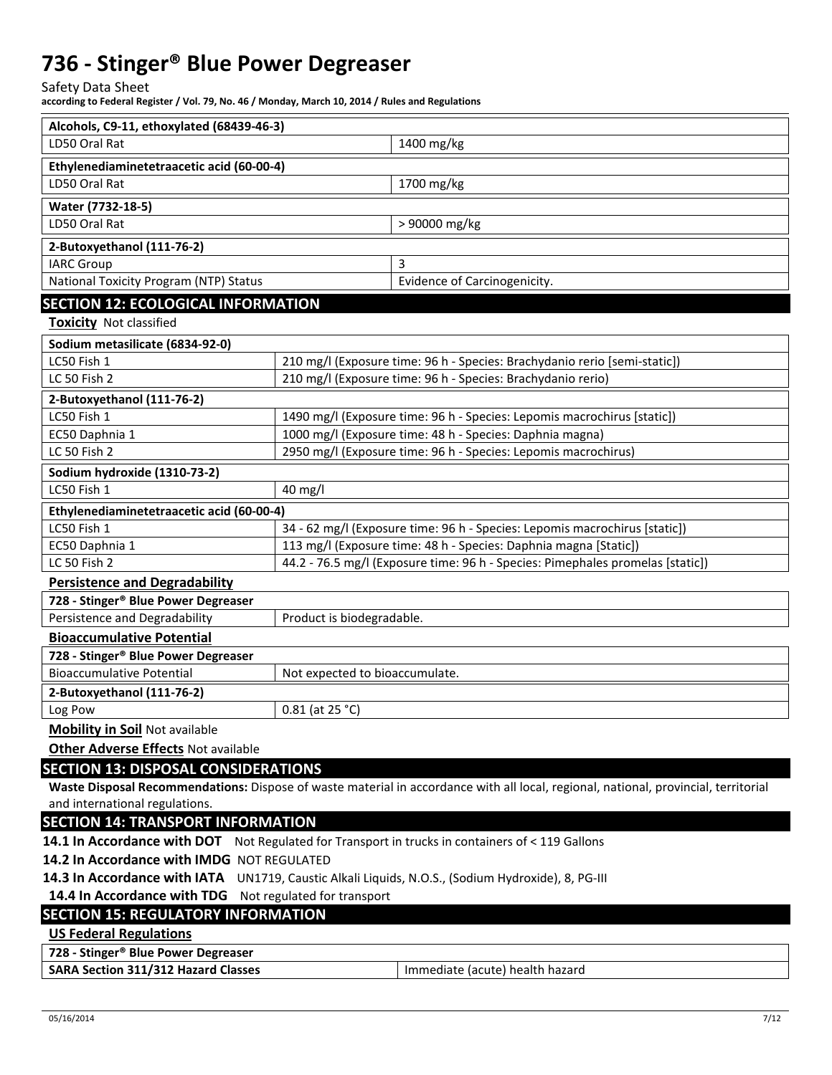Safety Data Sheet

**according to Federal Register / Vol. 79, No. 46 / Monday, March 10, 2014 / Rules and Regulations** 

| Alcohols, C9-11, ethoxylated (68439-46-3)                                                          |                                                                                |                                                                                                                                     |  |  |  |
|----------------------------------------------------------------------------------------------------|--------------------------------------------------------------------------------|-------------------------------------------------------------------------------------------------------------------------------------|--|--|--|
| LD50 Oral Rat                                                                                      |                                                                                | 1400 mg/kg                                                                                                                          |  |  |  |
| Ethylenediaminetetraacetic acid (60-00-4)                                                          |                                                                                |                                                                                                                                     |  |  |  |
| LD50 Oral Rat                                                                                      |                                                                                | 1700 mg/kg                                                                                                                          |  |  |  |
| Water (7732-18-5)                                                                                  |                                                                                |                                                                                                                                     |  |  |  |
| LD50 Oral Rat                                                                                      |                                                                                | > 90000 mg/kg                                                                                                                       |  |  |  |
| 2-Butoxyethanol (111-76-2)                                                                         |                                                                                |                                                                                                                                     |  |  |  |
| <b>IARC Group</b>                                                                                  |                                                                                | 3                                                                                                                                   |  |  |  |
| National Toxicity Program (NTP) Status                                                             |                                                                                | Evidence of Carcinogenicity.                                                                                                        |  |  |  |
| <b>SECTION 12: ECOLOGICAL INFORMATION</b>                                                          |                                                                                |                                                                                                                                     |  |  |  |
| <b>Toxicity Not classified</b>                                                                     |                                                                                |                                                                                                                                     |  |  |  |
| Sodium metasilicate (6834-92-0)                                                                    |                                                                                |                                                                                                                                     |  |  |  |
| LC50 Fish 1                                                                                        |                                                                                | 210 mg/l (Exposure time: 96 h - Species: Brachydanio rerio [semi-static])                                                           |  |  |  |
| LC 50 Fish 2                                                                                       |                                                                                | 210 mg/l (Exposure time: 96 h - Species: Brachydanio rerio)                                                                         |  |  |  |
| 2-Butoxyethanol (111-76-2)                                                                         |                                                                                |                                                                                                                                     |  |  |  |
| LC50 Fish 1                                                                                        |                                                                                | 1490 mg/l (Exposure time: 96 h - Species: Lepomis macrochirus [static])                                                             |  |  |  |
| EC50 Daphnia 1                                                                                     |                                                                                | 1000 mg/l (Exposure time: 48 h - Species: Daphnia magna)                                                                            |  |  |  |
| LC 50 Fish 2                                                                                       |                                                                                | 2950 mg/l (Exposure time: 96 h - Species: Lepomis macrochirus)                                                                      |  |  |  |
| Sodium hydroxide (1310-73-2)                                                                       |                                                                                |                                                                                                                                     |  |  |  |
| LC50 Fish 1                                                                                        | 40 mg/l                                                                        |                                                                                                                                     |  |  |  |
| Ethylenediaminetetraacetic acid (60-00-4)                                                          |                                                                                |                                                                                                                                     |  |  |  |
| LC50 Fish 1                                                                                        |                                                                                | 34 - 62 mg/l (Exposure time: 96 h - Species: Lepomis macrochirus [static])                                                          |  |  |  |
| 113 mg/l (Exposure time: 48 h - Species: Daphnia magna [Static])<br>EC50 Daphnia 1                 |                                                                                |                                                                                                                                     |  |  |  |
| LC 50 Fish 2                                                                                       | 44.2 - 76.5 mg/l (Exposure time: 96 h - Species: Pimephales promelas [static]) |                                                                                                                                     |  |  |  |
| <b>Persistence and Degradability</b>                                                               |                                                                                |                                                                                                                                     |  |  |  |
| 728 - Stinger® Blue Power Degreaser                                                                |                                                                                |                                                                                                                                     |  |  |  |
| Persistence and Degradability                                                                      | Product is biodegradable.                                                      |                                                                                                                                     |  |  |  |
| <b>Bioaccumulative Potential</b>                                                                   |                                                                                |                                                                                                                                     |  |  |  |
| 728 - Stinger® Blue Power Degreaser                                                                |                                                                                |                                                                                                                                     |  |  |  |
| <b>Bioaccumulative Potential</b>                                                                   | Not expected to bioaccumulate.                                                 |                                                                                                                                     |  |  |  |
| 2-Butoxyethanol (111-76-2)                                                                         |                                                                                |                                                                                                                                     |  |  |  |
| Log Pow                                                                                            | $0.81$ (at 25 °C)                                                              |                                                                                                                                     |  |  |  |
| <b>Mobility in Soil Not available</b>                                                              |                                                                                |                                                                                                                                     |  |  |  |
| <b>Other Adverse Effects Not available</b>                                                         |                                                                                |                                                                                                                                     |  |  |  |
| <b>SECTION 13: DISPOSAL CONSIDERATIONS</b>                                                         |                                                                                |                                                                                                                                     |  |  |  |
|                                                                                                    |                                                                                | Waste Disposal Recommendations: Dispose of waste material in accordance with all local, regional, national, provincial, territorial |  |  |  |
| and international regulations.                                                                     |                                                                                |                                                                                                                                     |  |  |  |
| <b>SECTION 14: TRANSPORT INFORMATION</b>                                                           |                                                                                |                                                                                                                                     |  |  |  |
| 14.1 In Accordance with DOT Not Regulated for Transport in trucks in containers of < 119 Gallons   |                                                                                |                                                                                                                                     |  |  |  |
|                                                                                                    | 14.2 In Accordance with IMDG NOT REGULATED                                     |                                                                                                                                     |  |  |  |
| 14.3 In Accordance with IATA UN1719, Caustic Alkali Liquids, N.O.S., (Sodium Hydroxide), 8, PG-III |                                                                                |                                                                                                                                     |  |  |  |
| 14.4 In Accordance with TDG Not regulated for transport                                            |                                                                                |                                                                                                                                     |  |  |  |
| <b>SECTION 15: REGULATORY INFORMATION</b>                                                          |                                                                                |                                                                                                                                     |  |  |  |
| <b>US Federal Regulations</b>                                                                      |                                                                                |                                                                                                                                     |  |  |  |
| 728 - Stinger® Blue Power Degreaser                                                                |                                                                                |                                                                                                                                     |  |  |  |
| <b>SARA Section 311/312 Hazard Classes</b>                                                         |                                                                                | Immediate (acute) health hazard                                                                                                     |  |  |  |
|                                                                                                    |                                                                                |                                                                                                                                     |  |  |  |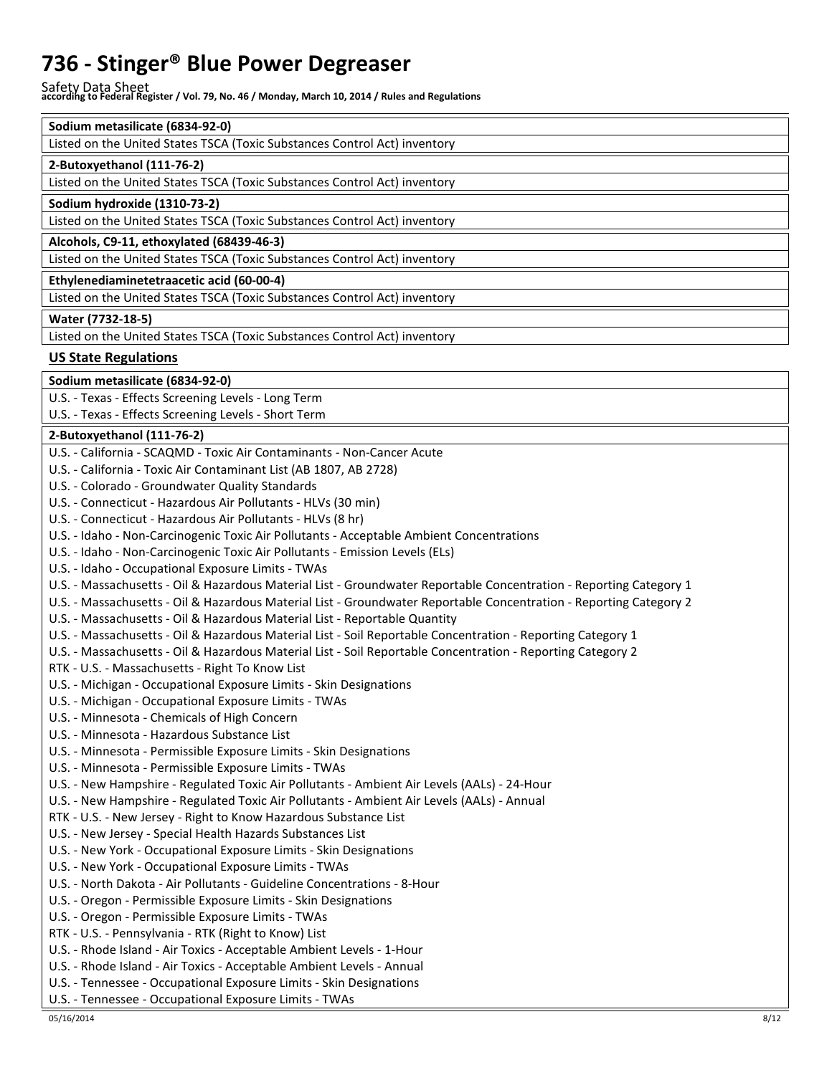Safety Data Sheet **according to Federal Register / Vol. 79, No. 46 / Monday, March 10, 2014 / Rules and Regulations** 

| Sodium metasilicate (6834-92-0)                                           |
|---------------------------------------------------------------------------|
| Listed on the United States TSCA (Toxic Substances Control Act) inventory |
| 2-Butoxyethanol (111-76-2)                                                |
| Listed on the United States TSCA (Toxic Substances Control Act) inventory |
| Sodium hydroxide (1310-73-2)                                              |
| Listed on the United States TSCA (Toxic Substances Control Act) inventory |
| Alcohols, C9-11, ethoxylated (68439-46-3)                                 |
| Listed on the United States TSCA (Toxic Substances Control Act) inventory |
| Ethylenediaminetetraacetic acid (60-00-4)                                 |
| Listed on the United States TSCA (Toxic Substances Control Act) inventory |
| Water (7732-18-5)                                                         |
| Listed on the United States TSCA (Toxic Substances Control Act) inventory |

#### **US State Regulations**

**Sodium metasilicate (6834-92-0)** 

U.S. - Texas - Effects Screening Levels - Long Term

U.S. - Texas - Effects Screening Levels - Short Term

#### **2-Butoxyethanol (111-76-2)**

| U.S. - California - SCAQMD - Toxic Air Contaminants - Non-Cancer Acute                                             |
|--------------------------------------------------------------------------------------------------------------------|
| U.S. - California - Toxic Air Contaminant List (AB 1807, AB 2728)                                                  |
| U.S. - Colorado - Groundwater Quality Standards                                                                    |
| U.S. - Connecticut - Hazardous Air Pollutants - HLVs (30 min)                                                      |
| U.S. - Connecticut - Hazardous Air Pollutants - HLVs (8 hr)                                                        |
| U.S. - Idaho - Non-Carcinogenic Toxic Air Pollutants - Acceptable Ambient Concentrations                           |
| U.S. - Idaho - Non-Carcinogenic Toxic Air Pollutants - Emission Levels (ELs)                                       |
| U.S. - Idaho - Occupational Exposure Limits - TWAs                                                                 |
| U.S. - Massachusetts - Oil & Hazardous Material List - Groundwater Reportable Concentration - Reporting Category 1 |
| U.S. - Massachusetts - Oil & Hazardous Material List - Groundwater Reportable Concentration - Reporting Category 2 |
| U.S. - Massachusetts - Oil & Hazardous Material List - Reportable Quantity                                         |
| U.S. - Massachusetts - Oil & Hazardous Material List - Soil Reportable Concentration - Reporting Category 1        |
| U.S. - Massachusetts - Oil & Hazardous Material List - Soil Reportable Concentration - Reporting Category 2        |
| RTK - U.S. - Massachusetts - Right To Know List                                                                    |
| U.S. - Michigan - Occupational Exposure Limits - Skin Designations                                                 |
| U.S. - Michigan - Occupational Exposure Limits - TWAs                                                              |
| U.S. - Minnesota - Chemicals of High Concern                                                                       |
| U.S. - Minnesota - Hazardous Substance List                                                                        |
| U.S. - Minnesota - Permissible Exposure Limits - Skin Designations                                                 |
| U.S. - Minnesota - Permissible Exposure Limits - TWAs                                                              |
| U.S. - New Hampshire - Regulated Toxic Air Pollutants - Ambient Air Levels (AALs) - 24-Hour                        |
| U.S. - New Hampshire - Regulated Toxic Air Pollutants - Ambient Air Levels (AALs) - Annual                         |
| RTK - U.S. - New Jersey - Right to Know Hazardous Substance List                                                   |
| U.S. - New Jersey - Special Health Hazards Substances List                                                         |
| U.S. - New York - Occupational Exposure Limits - Skin Designations                                                 |
| U.S. - New York - Occupational Exposure Limits - TWAs                                                              |
| U.S. - North Dakota - Air Pollutants - Guideline Concentrations - 8-Hour                                           |
| U.S. - Oregon - Permissible Exposure Limits - Skin Designations                                                    |
| U.S. - Oregon - Permissible Exposure Limits - TWAs                                                                 |
| RTK - U.S. - Pennsylvania - RTK (Right to Know) List                                                               |
| U.S. - Rhode Island - Air Toxics - Acceptable Ambient Levels - 1-Hour                                              |
| U.S. - Rhode Island - Air Toxics - Acceptable Ambient Levels - Annual                                              |
| U.S. - Tennessee - Occupational Exposure Limits - Skin Designations                                                |
| U.S. - Tennessee - Occupational Exposure Limits - TWAs                                                             |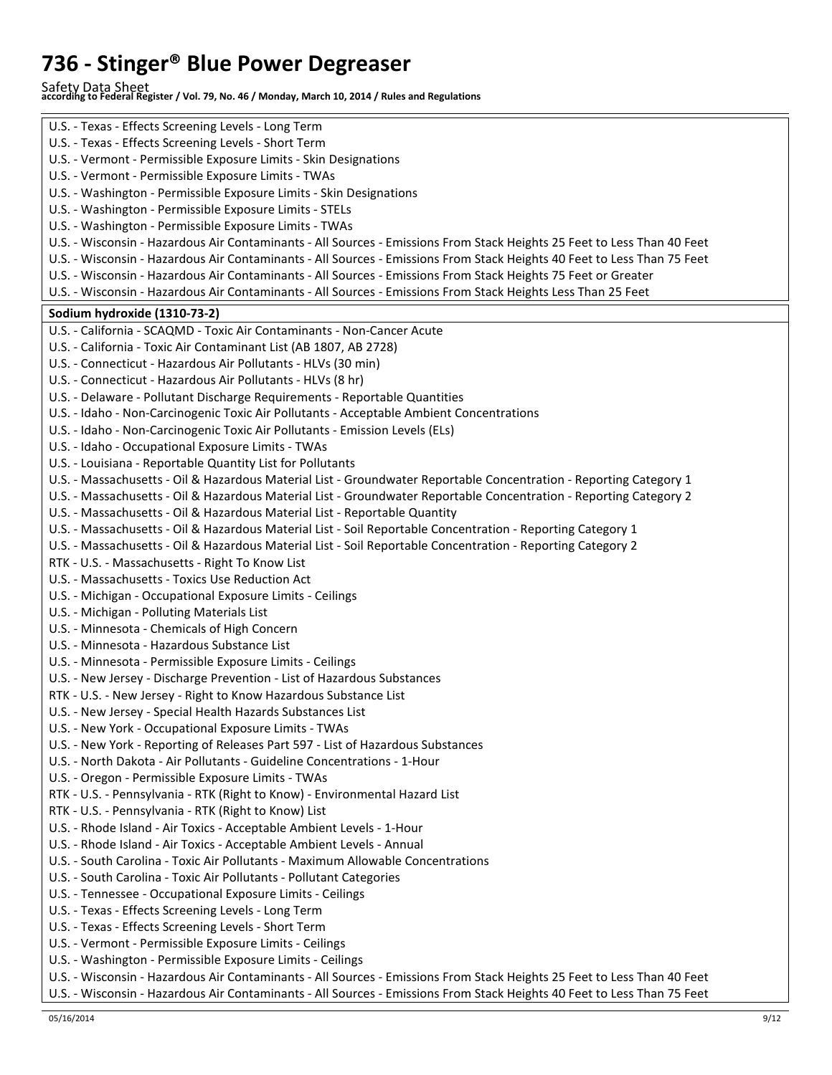Safety Data Sheet **according to Federal Register / Vol. 79, No. 46 / Monday, March 10, 2014 / Rules and Regulations** 

| U.S. - Texas - Effects Screening Levels - Long Term                                                                     |
|-------------------------------------------------------------------------------------------------------------------------|
| U.S. - Texas - Effects Screening Levels - Short Term                                                                    |
| U.S. - Vermont - Permissible Exposure Limits - Skin Designations                                                        |
| U.S. - Vermont - Permissible Exposure Limits - TWAs                                                                     |
| U.S. - Washington - Permissible Exposure Limits - Skin Designations                                                     |
| U.S. - Washington - Permissible Exposure Limits - STELs                                                                 |
|                                                                                                                         |
| U.S. - Washington - Permissible Exposure Limits - TWAs                                                                  |
| U.S. - Wisconsin - Hazardous Air Contaminants - All Sources - Emissions From Stack Heights 25 Feet to Less Than 40 Feet |
| U.S. - Wisconsin - Hazardous Air Contaminants - All Sources - Emissions From Stack Heights 40 Feet to Less Than 75 Feet |
| U.S. - Wisconsin - Hazardous Air Contaminants - All Sources - Emissions From Stack Heights 75 Feet or Greater           |
| U.S. - Wisconsin - Hazardous Air Contaminants - All Sources - Emissions From Stack Heights Less Than 25 Feet            |
| Sodium hydroxide (1310-73-2)                                                                                            |
| U.S. - California - SCAQMD - Toxic Air Contaminants - Non-Cancer Acute                                                  |
| U.S. - California - Toxic Air Contaminant List (AB 1807, AB 2728)                                                       |
| U.S. - Connecticut - Hazardous Air Pollutants - HLVs (30 min)                                                           |
| U.S. - Connecticut - Hazardous Air Pollutants - HLVs (8 hr)                                                             |
| U.S. - Delaware - Pollutant Discharge Requirements - Reportable Quantities                                              |
| U.S. - Idaho - Non-Carcinogenic Toxic Air Pollutants - Acceptable Ambient Concentrations                                |
| U.S. - Idaho - Non-Carcinogenic Toxic Air Pollutants - Emission Levels (ELs)                                            |
| U.S. - Idaho - Occupational Exposure Limits - TWAs                                                                      |
| U.S. - Louisiana - Reportable Quantity List for Pollutants                                                              |
| U.S. - Massachusetts - Oil & Hazardous Material List - Groundwater Reportable Concentration - Reporting Category 1      |
| U.S. - Massachusetts - Oil & Hazardous Material List - Groundwater Reportable Concentration - Reporting Category 2      |
| U.S. - Massachusetts - Oil & Hazardous Material List - Reportable Quantity                                              |
| U.S. - Massachusetts - Oil & Hazardous Material List - Soil Reportable Concentration - Reporting Category 1             |
| U.S. - Massachusetts - Oil & Hazardous Material List - Soil Reportable Concentration - Reporting Category 2             |
| RTK - U.S. - Massachusetts - Right To Know List                                                                         |
| U.S. - Massachusetts - Toxics Use Reduction Act                                                                         |
| U.S. - Michigan - Occupational Exposure Limits - Ceilings                                                               |
| U.S. - Michigan - Polluting Materials List                                                                              |
|                                                                                                                         |
| U.S. - Minnesota - Chemicals of High Concern<br>U.S. - Minnesota - Hazardous Substance List                             |
|                                                                                                                         |
| U.S. - Minnesota - Permissible Exposure Limits - Ceilings                                                               |
| U.S. - New Jersey - Discharge Prevention - List of Hazardous Substances                                                 |
| RTK - U.S. - New Jersey - Right to Know Hazardous Substance List                                                        |
| U.S. - New Jersey - Special Health Hazards Substances List                                                              |
| U.S. - New York - Occupational Exposure Limits - TWAs                                                                   |
| U.S. - New York - Reporting of Releases Part 597 - List of Hazardous Substances                                         |
| U.S. - North Dakota - Air Pollutants - Guideline Concentrations - 1-Hour                                                |
| U.S. - Oregon - Permissible Exposure Limits - TWAs                                                                      |
| RTK - U.S. - Pennsylvania - RTK (Right to Know) - Environmental Hazard List                                             |
| RTK - U.S. - Pennsylvania - RTK (Right to Know) List                                                                    |
| U.S. - Rhode Island - Air Toxics - Acceptable Ambient Levels - 1-Hour                                                   |
| U.S. - Rhode Island - Air Toxics - Acceptable Ambient Levels - Annual                                                   |
| U.S. - South Carolina - Toxic Air Pollutants - Maximum Allowable Concentrations                                         |
| U.S. - South Carolina - Toxic Air Pollutants - Pollutant Categories                                                     |
| U.S. - Tennessee - Occupational Exposure Limits - Ceilings                                                              |
| U.S. - Texas - Effects Screening Levels - Long Term                                                                     |
| U.S. - Texas - Effects Screening Levels - Short Term                                                                    |
| U.S. - Vermont - Permissible Exposure Limits - Ceilings                                                                 |
| U.S. - Washington - Permissible Exposure Limits - Ceilings                                                              |
| U.S. - Wisconsin - Hazardous Air Contaminants - All Sources - Emissions From Stack Heights 25 Feet to Less Than 40 Feet |
| U.S. - Wisconsin - Hazardous Air Contaminants - All Sources - Emissions From Stack Heights 40 Feet to Less Than 75 Feet |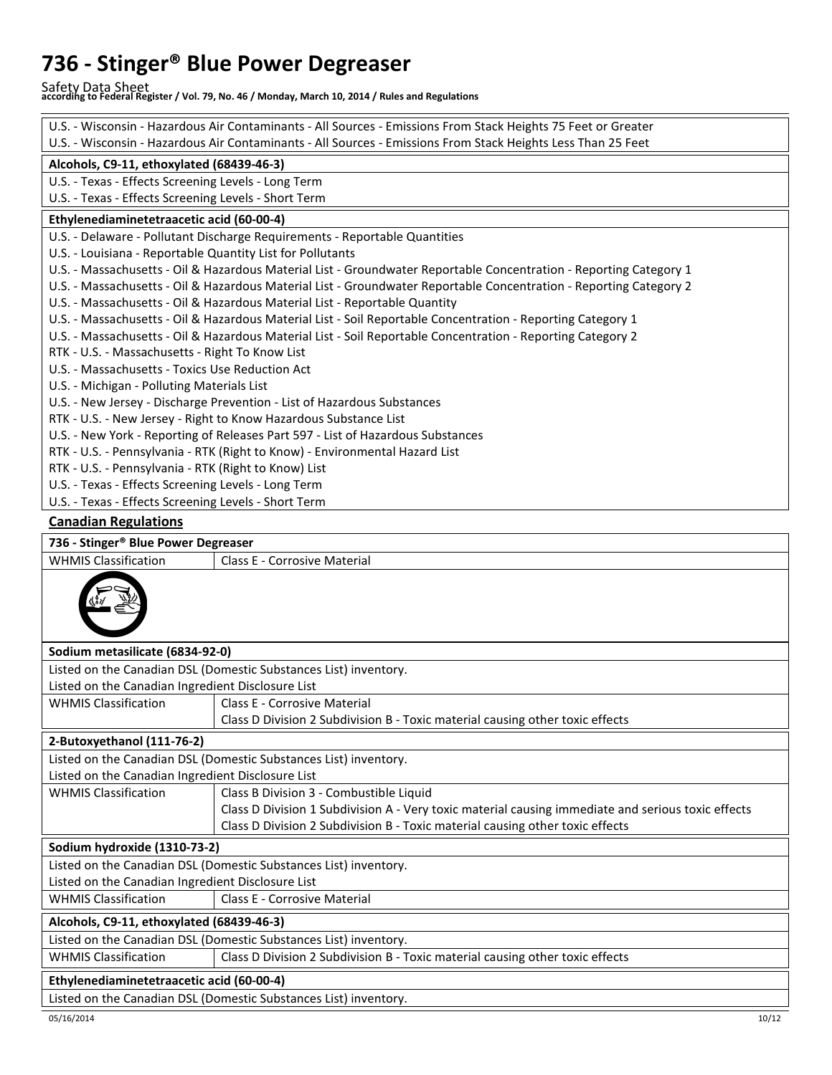Safety Data Sheet **according to Federal Register / Vol. 79, No. 46 / Monday, March 10, 2014 / Rules and Regulations** 

| U.S. - Wisconsin - Hazardous Air Contaminants - All Sources - Emissions From Stack Heights 75 Feet or Greater      |                                                                                                    |  |  |
|--------------------------------------------------------------------------------------------------------------------|----------------------------------------------------------------------------------------------------|--|--|
| U.S. - Wisconsin - Hazardous Air Contaminants - All Sources - Emissions From Stack Heights Less Than 25 Feet       |                                                                                                    |  |  |
| Alcohols, C9-11, ethoxylated (68439-46-3)                                                                          |                                                                                                    |  |  |
| U.S. - Texas - Effects Screening Levels - Long Term                                                                |                                                                                                    |  |  |
| U.S. - Texas - Effects Screening Levels - Short Term                                                               |                                                                                                    |  |  |
| Ethylenediaminetetraacetic acid (60-00-4)                                                                          |                                                                                                    |  |  |
|                                                                                                                    | U.S. - Delaware - Pollutant Discharge Requirements - Reportable Quantities                         |  |  |
| U.S. - Louisiana - Reportable Quantity List for Pollutants                                                         |                                                                                                    |  |  |
| U.S. - Massachusetts - Oil & Hazardous Material List - Groundwater Reportable Concentration - Reporting Category 1 |                                                                                                    |  |  |
| U.S. - Massachusetts - Oil & Hazardous Material List - Groundwater Reportable Concentration - Reporting Category 2 |                                                                                                    |  |  |
| U.S. - Massachusetts - Oil & Hazardous Material List - Reportable Quantity                                         |                                                                                                    |  |  |
| U.S. - Massachusetts - Oil & Hazardous Material List - Soil Reportable Concentration - Reporting Category 1        |                                                                                                    |  |  |
| U.S. - Massachusetts - Oil & Hazardous Material List - Soil Reportable Concentration - Reporting Category 2        |                                                                                                    |  |  |
| RTK - U.S. - Massachusetts - Right To Know List                                                                    |                                                                                                    |  |  |
| U.S. - Massachusetts - Toxics Use Reduction Act                                                                    |                                                                                                    |  |  |
| U.S. - Michigan - Polluting Materials List                                                                         |                                                                                                    |  |  |
| U.S. - New Jersey - Discharge Prevention - List of Hazardous Substances                                            |                                                                                                    |  |  |
|                                                                                                                    | RTK - U.S. - New Jersey - Right to Know Hazardous Substance List                                   |  |  |
|                                                                                                                    | U.S. - New York - Reporting of Releases Part 597 - List of Hazardous Substances                    |  |  |
|                                                                                                                    | RTK - U.S. - Pennsylvania - RTK (Right to Know) - Environmental Hazard List                        |  |  |
| RTK - U.S. - Pennsylvania - RTK (Right to Know) List                                                               |                                                                                                    |  |  |
| U.S. - Texas - Effects Screening Levels - Long Term                                                                |                                                                                                    |  |  |
| U.S. - Texas - Effects Screening Levels - Short Term                                                               |                                                                                                    |  |  |
| <b>Canadian Regulations</b>                                                                                        |                                                                                                    |  |  |
| 736 - Stinger® Blue Power Degreaser                                                                                |                                                                                                    |  |  |
| <b>WHMIS Classification</b>                                                                                        | Class E - Corrosive Material                                                                       |  |  |
|                                                                                                                    |                                                                                                    |  |  |
| Sodium metasilicate (6834-92-0)                                                                                    |                                                                                                    |  |  |
|                                                                                                                    | Listed on the Canadian DSL (Domestic Substances List) inventory.                                   |  |  |
| Listed on the Canadian Ingredient Disclosure List                                                                  |                                                                                                    |  |  |
| <b>WHMIS Classification</b>                                                                                        | Class E - Corrosive Material                                                                       |  |  |
|                                                                                                                    | Class D Division 2 Subdivision B - Toxic material causing other toxic effects                      |  |  |
| 2-Butoxyethanol (111-76-2)                                                                                         |                                                                                                    |  |  |
|                                                                                                                    | Listed on the Canadian DSL (Domestic Substances List) inventory.                                   |  |  |
| Listed on the Canadian Ingredient Disclosure List                                                                  |                                                                                                    |  |  |
| <b>WHMIS Classification</b>                                                                                        | Class B Division 3 - Combustible Liquid                                                            |  |  |
|                                                                                                                    | Class D Division 1 Subdivision A - Very toxic material causing immediate and serious toxic effects |  |  |
|                                                                                                                    | Class D Division 2 Subdivision B - Toxic material causing other toxic effects                      |  |  |
| Sodium hydroxide (1310-73-2)                                                                                       |                                                                                                    |  |  |
|                                                                                                                    | Listed on the Canadian DSL (Domestic Substances List) inventory.                                   |  |  |
| Listed on the Canadian Ingredient Disclosure List                                                                  |                                                                                                    |  |  |
| <b>WHMIS Classification</b>                                                                                        | Class E - Corrosive Material                                                                       |  |  |
| Alcohols, C9-11, ethoxylated (68439-46-3)                                                                          |                                                                                                    |  |  |
| Listed on the Canadian DSL (Domestic Substances List) inventory.                                                   |                                                                                                    |  |  |
| <b>WHMIS Classification</b>                                                                                        | Class D Division 2 Subdivision B - Toxic material causing other toxic effects                      |  |  |
| Ethylenediaminetetraacetic acid (60-00-4)                                                                          |                                                                                                    |  |  |
| Listed on the Canadian DSL (Domestic Substances List) inventory.                                                   |                                                                                                    |  |  |
|                                                                                                                    |                                                                                                    |  |  |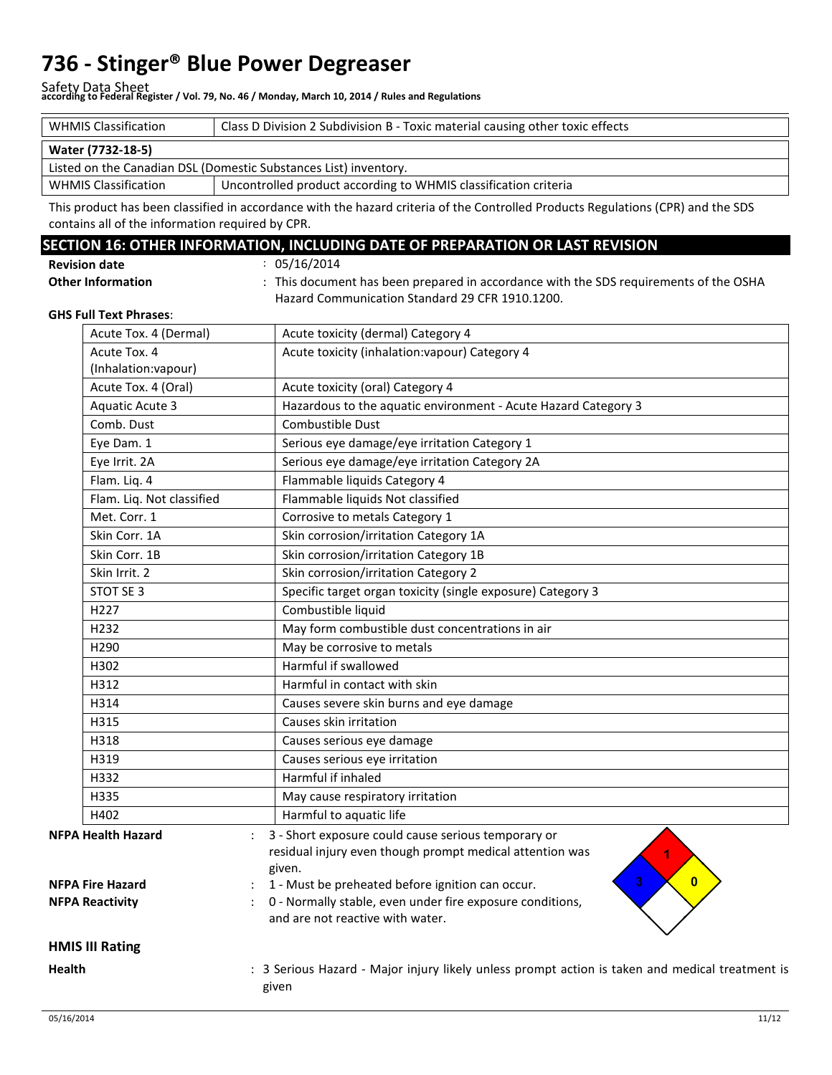Safety Data Sheet **according to Federal Register / Vol. 79, No. 46 / Monday, March 10, 2014 / Rules and Regulations** 

| <b>WHMIS Classification</b>                                      | Class D Division 2 Subdivision B - Toxic material causing other toxic effects |  |  |
|------------------------------------------------------------------|-------------------------------------------------------------------------------|--|--|
| Water (7732-18-5)                                                |                                                                               |  |  |
| Listed on the Canadian DSL (Domestic Substances List) inventory. |                                                                               |  |  |
| <b>WHMIS Classification</b>                                      | Uncontrolled product according to WHMIS classification criteria               |  |  |

This product has been classified in accordance with the hazard criteria of the Controlled Products Regulations (CPR) and the SDS contains all of the information required by CPR.

#### **SECTION 16: OTHER INFORMATION, INCLUDING DATE OF PREPARATION OR LAST REVISION**

: 05/16/2014

| <b>Revision date</b>     |  |
|--------------------------|--|
| <b>Other Information</b> |  |

: This document has been prepared in accordance with the SDS requirements of the OSHA Hazard Communication Standard 29 CFR 1910.1200.

#### **GHS Full Text Phrases**:

|        | Acute Tox. 4 (Dermal)     | Acute toxicity (dermal) Category 4                                                                                        |
|--------|---------------------------|---------------------------------------------------------------------------------------------------------------------------|
|        | Acute Tox. 4              | Acute toxicity (inhalation: vapour) Category 4                                                                            |
|        | (Inhalation:vapour)       |                                                                                                                           |
|        | Acute Tox. 4 (Oral)       | Acute toxicity (oral) Category 4                                                                                          |
|        | <b>Aquatic Acute 3</b>    | Hazardous to the aquatic environment - Acute Hazard Category 3                                                            |
|        | Comb. Dust                | Combustible Dust                                                                                                          |
|        | Eye Dam. 1                | Serious eye damage/eye irritation Category 1                                                                              |
|        | Eye Irrit. 2A             | Serious eye damage/eye irritation Category 2A                                                                             |
|        | Flam. Liq. 4              | Flammable liquids Category 4                                                                                              |
|        | Flam. Liq. Not classified | Flammable liquids Not classified                                                                                          |
|        | Met. Corr. 1              | Corrosive to metals Category 1                                                                                            |
|        | Skin Corr. 1A             | Skin corrosion/irritation Category 1A                                                                                     |
|        | Skin Corr. 1B             | Skin corrosion/irritation Category 1B                                                                                     |
|        | Skin Irrit. 2             | Skin corrosion/irritation Category 2                                                                                      |
|        | STOT SE 3                 | Specific target organ toxicity (single exposure) Category 3                                                               |
|        | H227                      | Combustible liquid                                                                                                        |
|        | H <sub>232</sub>          | May form combustible dust concentrations in air                                                                           |
|        | H <sub>290</sub>          | May be corrosive to metals                                                                                                |
|        | H302                      | Harmful if swallowed                                                                                                      |
|        | H312                      | Harmful in contact with skin                                                                                              |
|        | H314                      | Causes severe skin burns and eye damage                                                                                   |
|        | H315                      | Causes skin irritation                                                                                                    |
|        | H318                      | Causes serious eye damage                                                                                                 |
|        | H319                      | Causes serious eye irritation                                                                                             |
|        | H332                      | Harmful if inhaled                                                                                                        |
|        | H335                      | May cause respiratory irritation                                                                                          |
|        | H402                      | Harmful to aquatic life                                                                                                   |
|        | <b>NFPA Health Hazard</b> | 3 - Short exposure could cause serious temporary or<br>residual injury even though prompt medical attention was<br>given. |
|        | <b>NFPA Fire Hazard</b>   | 3<br>$\overline{0}$<br>1 - Must be preheated before ignition can occur.                                                   |
|        | <b>NFPA Reactivity</b>    | 0 - Normally stable, even under fire exposure conditions,<br>and are not reactive with water.                             |
|        | <b>HMIS III Rating</b>    |                                                                                                                           |
| Health |                           | : 3 Serious Hazard - Major injury likely unless prompt action is taken and medical treatment is<br>given                  |